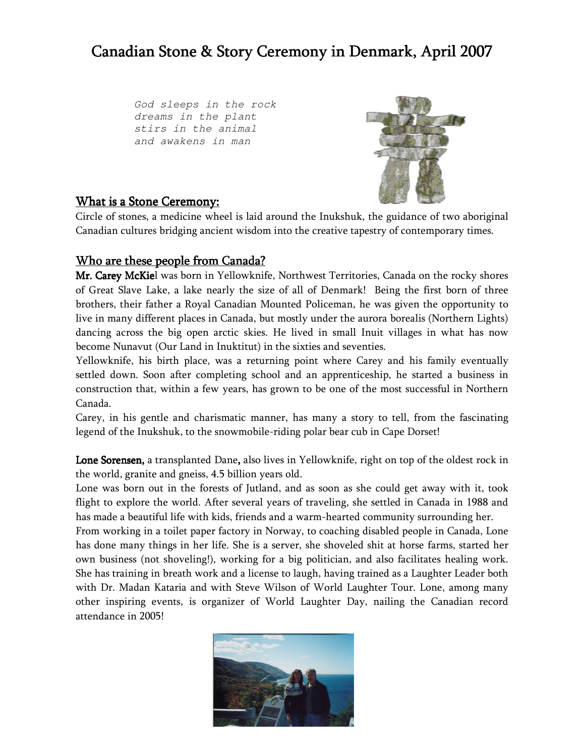# Canadian Stone & Story Ceremony in Denmark, April 2007

God sleeps in the rock dreams in the plant stirs in the animal and awakens in man



#### **What is a Stone Ceremony:**

Circle of stones, a medicine wheel is laid around the Inukshuk, the guidance of two aboriginal Canadian cultures bridging ancient wisdom into the creative tapestry of contemporary times.

## <u>Who are these people from Canada?</u>

Mr. Carey McKiel was born in Yellowknife, Northwest Territories, Canada on the rocky shores of Great Slave Lake, a lake nearly the size of all of Denmark! Being the first born of three brothers, their father a Royal Canadian Mounted Policeman, he was given the opportunity to live in many different places in Canada, but mostly under the aurora borealis (Northern Lights) dancing across the big open arctic skies. He lived in small Inuit villages in what has now become Nunavut (Our Land in Inuktitut) in the sixties and seventies.

Yellowknife, his birth place, was a returning point where Carey and his family eventually settled down. Soon after completing school and an apprenticeship, he started a business in construction that, within a few years, has grown to be one of the most successful in Northern Canada.

Carey, in his gentle and charismatic manner, has many a story to tell, from the fascinating legend of the Inukshuk, to the snowmobile-riding polar bear cub in Cape Dorset!

Lone Sorensen, a transplanted Dane, also lives in Yellowknife, right on top of the oldest rock in the world, granite and gneiss, 4.5 billion years old.

Lone was born out in the forests of Jutland, and as soon as she could get away with it, took flight to explore the world. After several years of traveling, she settled in Canada in 1988 and has made a beautiful life with kids, friends and a warm-hearted community surrounding her.

From working in a toilet paper factory in Norway, to coaching disabled people in Canada, Lone has done many things in her life. She is a server, she shoveled shit at horse farms, started her own business (not shoveling!), working for a big politician, and also facilitates healing work. She has training in breath work and a license to laugh, having trained as a Laughter Leader both with Dr. Madan Kataria and with Steve Wilson of World Laughter Tour. Lone, among many other inspiring events, is organizer of World Laughter Day, nailing the Canadian record attendance in 2005!

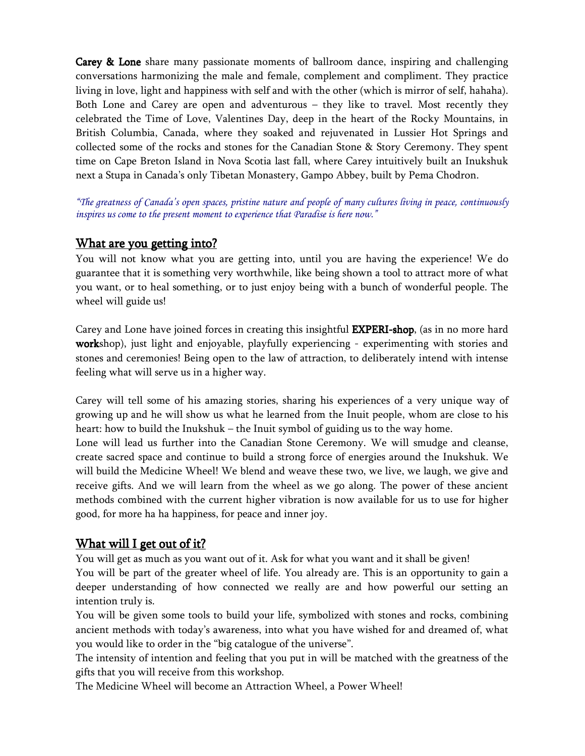Carey & Lone share many passionate moments of ballroom dance, inspiring and challenging conversations harmonizing the male and female, complement and compliment. They practice living in love, light and happiness with self and with the other (which is mirror of self, hahaha). Both Lone and Carey are open and adventurous - they like to travel. Most recently they celebrated the Time of Love, Valentines Day, deep in the heart of the Rocky Mountains, in British Columbia, Canada, where they soaked and rejuvenated in Lussier Hot Springs and collected some of the rocks and stones for the Canadian Stone & Story Ceremony. They spent time on Cape Breton Island in Nova Scotia last fall, where Carey intuitively built an Inukshuk next a Stupa in Canada's only Tibetan Monastery, Gampo Abbey, built by Pema Chodron.

"The greatness of Canada's open spaces, pristine nature and people of many cultures living in peace, continuously inspires us come to the present moment to experience that Paradise is here now."

#### <u>What are you getting into?</u>

You will not know what you are getting into, until you are having the experience! We do guarantee that it is something very worthwhile, like being shown a tool to attract more of what you want, or to heal something, or to just enjoy being with a bunch of wonderful people. The wheel will guide us!

Carey and Lone have joined forces in creating this insightful **EXPERI-shop**, (as in no more hard workshop), just light and enjoyable, playfully experiencing - experimenting with stories and stones and ceremonies! Being open to the law of attraction, to deliberately intend with intense feeling what will serve us in a higher way.

Carey will tell some of his amazing stories, sharing his experiences of a very unique way of growing up and he will show us what he learned from the Inuit people, whom are close to his heart: how to build the Inukshuk – the Inuit symbol of guiding us to the way home.

Lone will lead us further into the Canadian Stone Ceremony. We will smudge and cleanse, create sacred space and continue to build a strong force of energies around the Inukshuk. We will build the Medicine Wheel! We blend and weave these two, we live, we laugh, we give and receive gifts. And we will learn from the wheel as we go along. The power of these ancient methods combined with the current higher vibration is now available for us to use for higher good, for more ha ha happiness, for peace and inner joy.

## What will I get out of it?

You will get as much as you want out of it. Ask for what you want and it shall be given!

You will be part of the greater wheel of life. You already are. This is an opportunity to gain a deeper understanding of how connected we really are and how powerful our setting an intention truly is.

You will be given some tools to build your life, symbolized with stones and rocks, combining ancient methods with today's awareness, into what you have wished for and dreamed of, what you would like to order in the "big catalogue of the universe".

The intensity of intention and feeling that you put in will be matched with the greatness of the gifts that you will receive from this workshop.

The Medicine Wheel will become an Attraction Wheel, a Power Wheel!